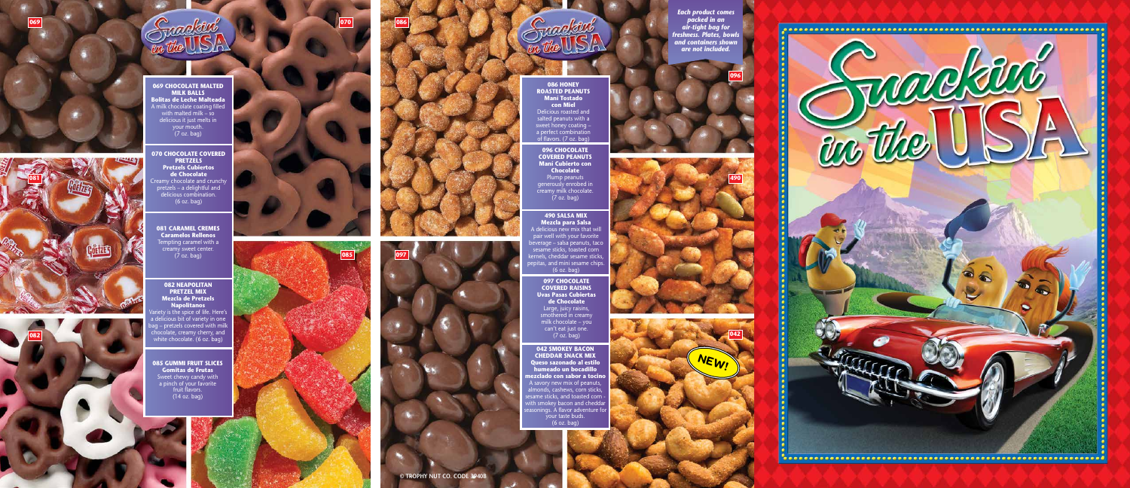*Each product comes packed in an air-tight bag for freshness. Plates, bowls and containers shown are not included.*







**081 CARAMEL CREMES Caramelos Rellenos** empting caramel with a creamy sweet center.  $(7 \text{ oz. }$  bag)

**069 CHOCOLATE MALTED MILK BALLS Bolitas de Leche Malteada** A milk chocolate coating filled with malted milk – so delicious it just melts in your mouth. (7 oz. bag)

iety is the spice of life. Here's delicious bit of variety in one g – pretzels covered with milk nocolate, creamy cherry, and white chocolate. (6 oz. bag)

**070 CHOCOLATE COVERED PRETZELS Pretzels Cubiertos de Chocolate** Creamy chocolate and crunchy pretzels – a delightful and delicious combination. (6 oz. bag)

**085 GUMMI FRUIT SLICES Gomitas de Frutas** Sweet chewy candy with a pinch of your favorite fruit flavors. (14 oz. bag)

**082 NEAPOLITAN PRETZEL MIX Mezcla de Pretzels Napolitanos**

 $\lambda$  delicious new mix that will pair well with your favorite beverage – salsa peanuts, taco sesame sticks, toasted corn kernels, cheddar sesame sticks, pepitas, and mini sesame chips. (6 oz. bag)

> **097 CHOCOLATE COVERED RAISINS Uvas Pasas Cubiertas de Chocolate** Large, juicy raisins, smothered in creamy milk chocolate – you can't eat just one. (7 oz. bag)





**086 HONEY ROASTED PEANUTS Maní Tostado con Miel** Delicious roasted and salted peanuts with a sweet honey coating – a perfect combination of flavors. (7 oz. bag)

**096 CHOCOLATE COVERED PEANUTS Maní Cubierto con Chocolate** Plump peanuts

generously enrobed in creamy milk chocolate. (7 oz. bag)

## **490 SALSA MIX Mezcla para Salsa**

**042 SMOKEY BACON CHEDDAR SNACK MIX Queso sazonado al estilo humeado un bocadillo mezclado con sabor a tocino** A savory new mix of peanuts, nonds, cashews, corn sticks, l same sticks, and toasted corn ith smokey bacon and cheddar isonings. A flavor adventure fo your taste buds. (6 oz. bag)